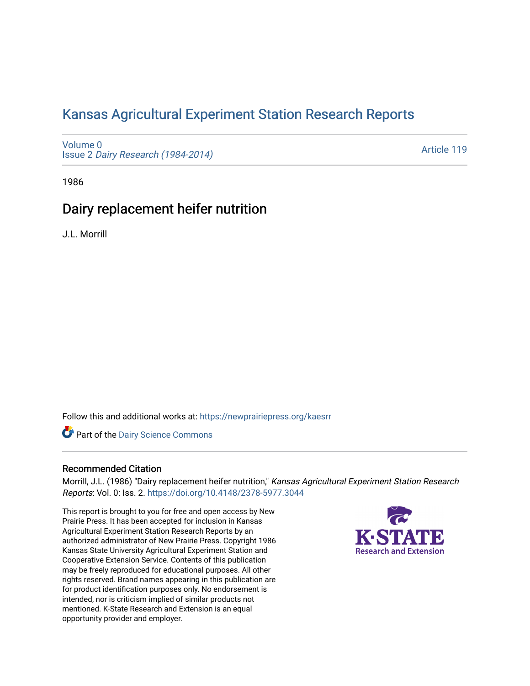# [Kansas Agricultural Experiment Station Research Reports](https://newprairiepress.org/kaesrr)

[Volume 0](https://newprairiepress.org/kaesrr/vol0) Issue 2 [Dairy Research \(1984-2014\)](https://newprairiepress.org/kaesrr/vol0/iss2) 

[Article 119](https://newprairiepress.org/kaesrr/vol0/iss2/119) 

1986

# Dairy replacement heifer nutrition

J.L. Morrill

Follow this and additional works at: [https://newprairiepress.org/kaesrr](https://newprairiepress.org/kaesrr?utm_source=newprairiepress.org%2Fkaesrr%2Fvol0%2Fiss2%2F119&utm_medium=PDF&utm_campaign=PDFCoverPages) 

**Part of the Dairy Science Commons** 

## Recommended Citation

Morrill, J.L. (1986) "Dairy replacement heifer nutrition," Kansas Agricultural Experiment Station Research Reports: Vol. 0: Iss. 2.<https://doi.org/10.4148/2378-5977.3044>

This report is brought to you for free and open access by New Prairie Press. It has been accepted for inclusion in Kansas Agricultural Experiment Station Research Reports by an authorized administrator of New Prairie Press. Copyright 1986 Kansas State University Agricultural Experiment Station and Cooperative Extension Service. Contents of this publication may be freely reproduced for educational purposes. All other rights reserved. Brand names appearing in this publication are for product identification purposes only. No endorsement is intended, nor is criticism implied of similar products not mentioned. K-State Research and Extension is an equal opportunity provider and employer.

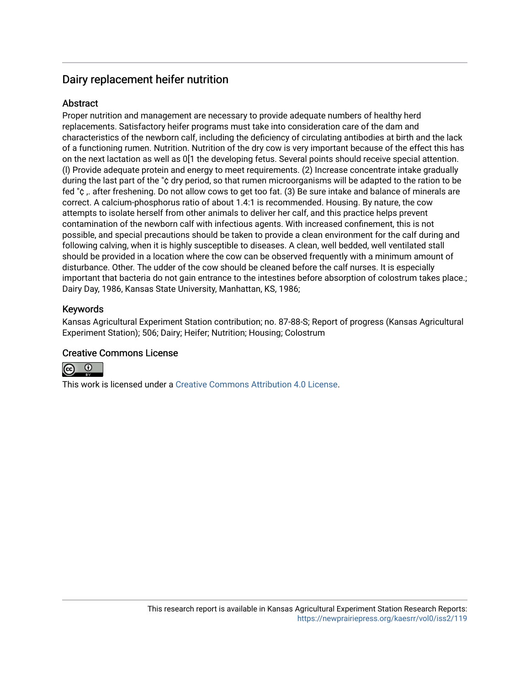# Dairy replacement heifer nutrition

## **Abstract**

Proper nutrition and management are necessary to provide adequate numbers of healthy herd replacements. Satisfactory heifer programs must take into consideration care of the dam and characteristics of the newborn calf, including the deficiency of circulating antibodies at birth and the lack of a functioning rumen. Nutrition. Nutrition of the dry cow is very important because of the effect this has on the next lactation as well as 0[1 the developing fetus. Several points should receive special attention. (l) Provide adequate protein and energy to meet requirements. (2) Increase concentrate intake gradually during the last part of the "¢ dry period, so that rumen microorganisms will be adapted to the ration to be fed " $c$  , after freshening. Do not allow cows to get too fat. (3) Be sure intake and balance of minerals are correct. A calcium-phosphorus ratio of about 1.4:1 is recommended. Housing. By nature, the cow attempts to isolate herself from other animals to deliver her calf, and this practice helps prevent contamination of the newborn calf with infectious agents. With increased confinement, this is not possible, and special precautions should be taken to provide a clean environment for the calf during and following calving, when it is highly susceptible to diseases. A clean, well bedded, well ventilated stall should be provided in a location where the cow can be observed frequently with a minimum amount of disturbance. Other. The udder of the cow should be cleaned before the calf nurses. It is especially important that bacteria do not gain entrance to the intestines before absorption of colostrum takes place.; Dairy Day, 1986, Kansas State University, Manhattan, KS, 1986;

## Keywords

Kansas Agricultural Experiment Station contribution; no. 87-88-S; Report of progress (Kansas Agricultural Experiment Station); 506; Dairy; Heifer; Nutrition; Housing; Colostrum

## Creative Commons License



This work is licensed under a [Creative Commons Attribution 4.0 License](https://creativecommons.org/licenses/by/4.0/).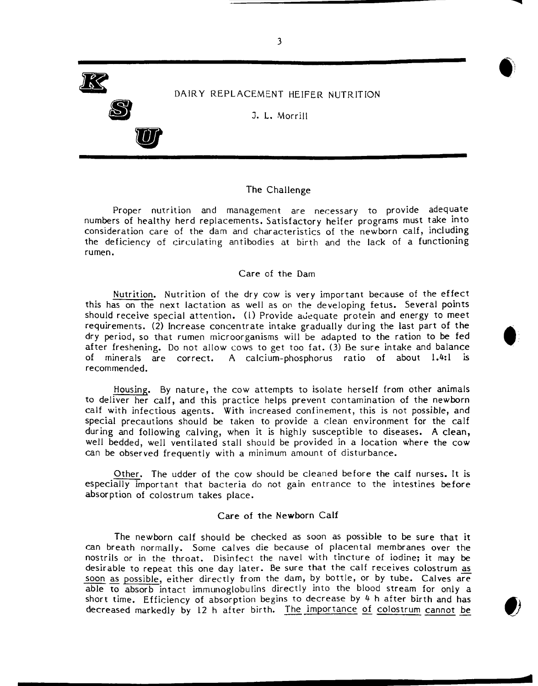1£ **S** 

**U** 

DAIRY REPLACEMENT HEIFER NUTRITION

3

 $\hat{\bullet}$ 

**d**

J. L. Morrill

### The Challenge

Proper nutrition and management are necessary to provide adequate numbers of healthy herd replacements. Satisfactory heifer programs must take into consideration care of the dam and characteristics of the newborn calf, including the deficiency of circulating antibodies at birth and the lack of a functioning rumen.

### Care of the Dam

Nutrition. Nutrition of the dry cow is very important because of the effect this has on the next lactation as well as on the developing fetus. Several points should receive special attention. (1) Provide adequate protein and energy to meet requirements. (2) Increase concentrate intake gradually during the last part of the • dry period, so that rumen microorganisms will be adapted to the ration to be fed after freshening. Do not allow cows to get too fat. (3) Be sure intake and balance of minerals are correct. A calcium-phosphorus ratio of about 1.4:1 *is* recommended.

Housing. By nature, the cow attempts to isolate herself from other animals to deliver her calf, and this practice helps prevent contamination of the newborn calf with infectious agents. With increased confinement, this is not possible, and special precautions should be taken to provide a clean environment for the calf during and following calving, when it is highly susceptible to diseases. A clean, well bedded, well ventilated stall should be provided in a location where the cow can be observed frequently with a minimum amount of disturbance.

Other. The udder of the cow should be cleaned before the calf nurses. It *is* especially important that bacteria do not gain entrance to the intestines before absorption of colostrum takes place.

#### Care of the Newborn Calf

The newborn calf should be checked as soon as possible to be sure that it can breath normally. Some calves die because of placental membranes over the nostrils or in the throat. Disinfect the navel with tincture of iodine; it may be desirable to repeat this one day later. Be sure that the calf receives colostrum as soon as possible, either directly from the dam, by bottle, or by tube. Calves are able to absorb intact immunoglobulins directly into the blood stream for only a short time. Efficiency of absorption begins to decrease by  $4$  h after birth and has decreased markedly by 12 h after birth. The importance of colostrum cannot be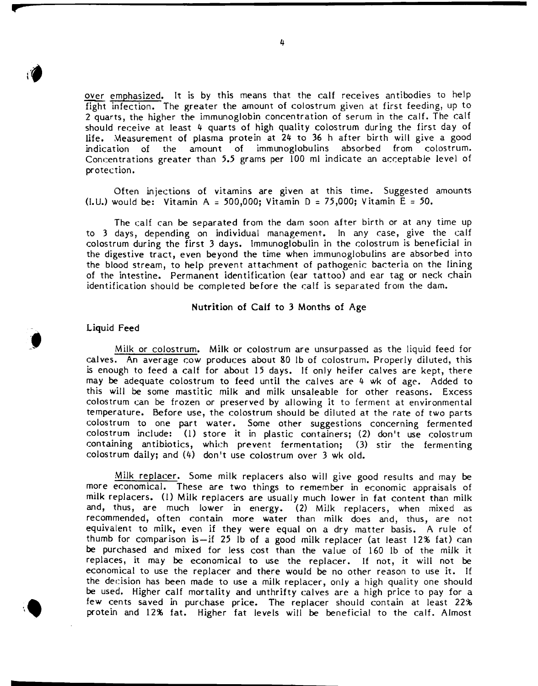over emphasized. It is by this means that the calf receives antibodies to help fight infection. The greater the amount of colostrum given at first feeding, up to 2 quarts, the higher the immunoglobin concentration of serum in the calf. The calf should receive at least 4 quarts of high quality colostrum during the first day of life. Measurement of plasma protein at 24 to 36 h after birth will give a good indication of the amount of immunoglobulins absorbed from colostrum. Concentrations greater than 5.5 grams per 100 ml indicate an acceptable level of protection.

Often injections of vitamins are given at this time. Suggested amounts (I.U.) would be: Vitamin A = 500,000; Vitamin D = 75,000; Vitamin E = 50.

The calf can be separated from the dam soon after birth or at any time up to 3 days, depending on individual management. In any case, give the calf colostrum during the first 3 days. Immunoglobulin in the colostrum *is* beneficial in the digestive tract, even beyond the time when immunoglobulins are absorbed into the blood stream, to help prevent attachment of pathogenic bacteria on the lining of the intestine. Permanent identification (ear tattoo) and ear tag or neck chain identification should be completed before the calf is separated from the dam.

### Nutrition **of** Calf to 3 Months **of** Age

#### Liquid Feed

**..**

'"

**p**

Milk or colostrum. Milk or colostrum are unsurpassed as the liquid feed for calves. An average cow produces about 80 Ib of colostrum. Properly diluted, this is enough to feed a calf for about 15 days. If only heifer calves are kept, there may be adequate colostrum to feed until the calves are 4 wk of age. Added to this will be some mastitic milk and milk unsaleable for other reasons. Excess colostrum can be frozen or preserved by allowing it to ferment at environmental temperature. Before use, the colostrum should be diluted at the rate of two parts colostrum to one part water. Some other suggestions concerning fermented colostrum include: (1) store it in plastic containers; (2) don't use colostrum containing antibiotics, which prevent fermentation; 0) stir the fermenting colostrum daily; and (4) don't use colostrum over 3 wk old.

Milk replacer. Some milk replacers also will give good results and may be more economical. These are two things to remember in economic appraisals of milk replacers. (1) Milk replacers are usually much lower in fat content than milk and, thus, are much lower in energy. (2) Milk replacers, when mixed as recommended, often contain more water than milk does and, thus, are not equivalent to milk, even if they were equal on a dry matter basis. A rule of thumb for comparison is-if 25 lb of a good milk replacer (at least 12% fat) can be purchased and mixed for less cost than the value of 160 Ib of the milk it replaces, it may be economical to use the replacer. If not, it will not be economical to use the replacer and there would be no other reason to use it. If the decision has been made to use a milk replacer, only a high quality one should be used. Higher calf mortality and unthrifty calves are a high price to pay for a few cents saved in purchase price. The replacer should contain at least 22% protein and 12% fat. Higher fat levels *will* be beneficial to the calf. Almost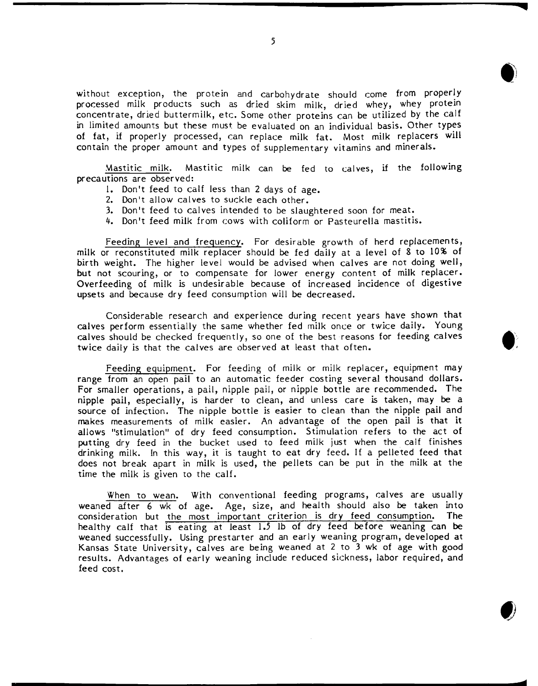without exception, the protein and carbohydrate should come from properly processed milk products such as dried skim milk, dried whey, whey protein concentrate, dried buttermilk, etc. Some other proteins can be utilized by the calf in limited amounts but these must be evaluated on an individual basis. Other types of fat, if properly processed, can replace milk fat. Most milk replacers will contain the proper amount and types of supplementary vitamins and minerals.

Mastitic milk. Mastitic milk can be fed to calves, if the following precautions are observed:

- 1. Don't feed to calf less than 2 days of age.
- 2. Don't allow calves to suckle each other.
- 3. Don't feed to calves intended to be slaughtered soon for meat.
- 4. Don't feed milk from cows with coliform or Pasteurella mastitis.

Feeding level and frequency. For desirable growth of herd replacements, milk or reconstituted milk replacer should be fed daily at a level of 8 to 10% of birth weight. The higher level would be advised when calves are not doing well, but not scouring, or to compensate for lower energy content of milk replacer. Overfeeding of milk is undesirable because of increased incidence of digestive upsets and because dry feed consumption will be decreased.

Considerable research and experience during recent years have shown that calves perform essentially the same whether fed milk once or twice daily. Young calves should be checked frequently, so one of the best reasons for feeding calves twice daily is that the calves are observed at least that often. •

Feeding equipment. For feeding of milk or milk replacer, equipment may range from an open pail to an automatic feeder costing several thousand dollars. For smaller operations, a pail, nipple pail, or nipple bottle are recommended. The nipple pail, especially, *is* harder to clean, and unless care is taken, may be a source of infection. The nipple bottle *is* easier to clean than the nipple pail and makes measurements of milk easier. An advantage of the open pail *is* that it allows "stimulation" of dry feed consumption. Stimulation refers to the act of putting dry feed in the bucket used to feed milk just when the calf finishes drinking milk. In this way, it is taught to eat dry feed. If a pelleted feed that does not break apart in milk *is* used, the pellets can be put in the milk at the time the milk *is* given to the calf.

When to wean. With conventional feeding programs, calves are usually weaned after 6 wk of age. Age, *size,* and health should also be taken into consideration but the most important criterion is dry feed consumption. The healthy calf that is eating at least 1.5 lb of dry feed before weaning can be weaned successfully. Using prestarter and an early weaning program, developed at Kansas State University, calves are being weaned at 2 to 3 wk of age with good results. Advantages of early weaning include reduced sickness, labor required, and feed cost.

**rtf**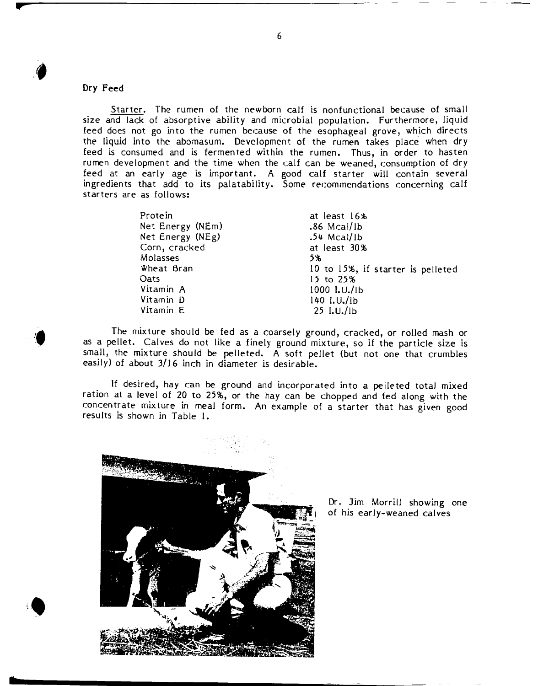Dry Feed

**...**

**•**

 $\ddot{\bullet}$ 

 $\bullet$ 

Starter. The rumen of the newborn calf is nonfunctional because of small size and lack of absorptive ability and microbial population. Furthermore, liquid feed does not go into the rumen because of the esophageal grove, which directs the liquid into the abomasum. Development of the rumen takes place when dry feed is consumed and is fermented within the rumen. Thus, in order to hasten rumen development and the time when the calf can be weaned, consumption of dry feed at an early age is important. A good calf starter will contain several ingredients that add to its palatability. Some recommendations concerning calf starters are as follows:

| Protein          | at least 16%                      |
|------------------|-----------------------------------|
| Net Energy (NEm) | $.86$ Mcal/lb                     |
| Net Energy (NEg) | $.54$ Mcal/lb                     |
| Corn, cracked    | at least 30%                      |
| Molasses         | 5 ኤ                               |
| Wheat Bran       | 10 to 15%, if starter is pelleted |
| Oats             | 15 to $25\%$                      |
| Vitamin A        | 1000 I.U./Ib                      |
| Vitamin D        | $140$ $1.0./1b$                   |
| Vitamin E        | $25$ I.U./Ib                      |
|                  |                                   |

The mixture should be fed as a coarsely ground, cracked, or rolled mash or as a pellet. Calves do not like a finely ground mixture, so if the particle size is small, the mixture should be pelleted. A soft pellet (but not one that crumbles easily) of about *3/16* inch in diameter is desirable.

If desired, hay can be ground and incorporated into a pelleted total mixed ration at a level of 20 to 25%, or the hay can be chopped and fed along with the concentrate mixture in meal form. An example of a starter that has given good results is shown in Table 1.



Dr. Jim Morrill Showing one of *his* early-weaned calves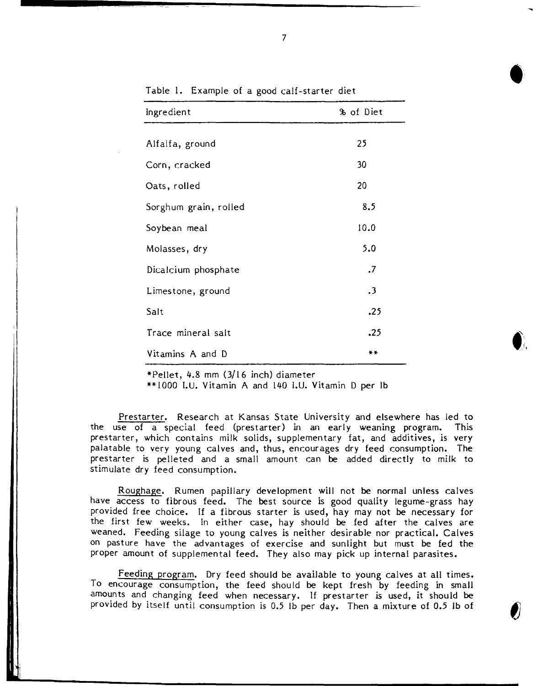| Ingredient            | % of Diet            |
|-----------------------|----------------------|
| Alfalfa, ground       | 25                   |
| Corn, cracked         | 30                   |
| Oats, rolled          | 20                   |
| Sorghum grain, rolled | 8.5                  |
| Soybean meal          | 10.0                 |
| Molasses, dry         | 5.0                  |
| Dicalcium phosphate   | $\cdot$              |
| Limestone, ground     | $\cdot$ <sup>3</sup> |
| Salt                  | .25                  |
| Trace mineral salt    | .25                  |
| Vitamins A and D      | **                   |

Table 1. Example of a good calf-starter diet

\*Pellet, 4.8 mm (3/16 inch) diameter

\*\* 1000 I.U. Vitamin A and 140 I.U. Vitamin 0 per lb

Prestarter. Research at Kansas State University and elsewhere has led to the use of a special feed (prestarter) in an earIy weaning program. This prestarter, which contains milk solids, supplementary fat, and additives, is very palatable to very young calves and, thus, encourages dry feed consumption. The prestarter is pelleted and a small amount can be added directly to milk to stimulate dry feed consumption.

Roughage. Rumen papillary development will not be normal unless calves have access to fibrous feed. The best source is good quality legume-grass hay provided free choice. If a fibrous starter is used, hay may not be necessary for the first few weeks. In either case, hay should be fed after the calves are weaned. Feeding silage to young calves is neither desirable nor practical. Calves on pasture have the advantages of exercise and sunlight but must be fed the proper amount of supplemental feed. They also may pick up internal parasites.

Feeding program. Dry feed should be available to young calves at all times. To encourage consumption, the feed should be kept fresh by feeding in small amounts and changing feed when necessary. If prestarter is used, it should be provided by itself until consumption is 0.5 lb per day. Then a mixture of 0.5 lb of  $\ddot{\bullet}$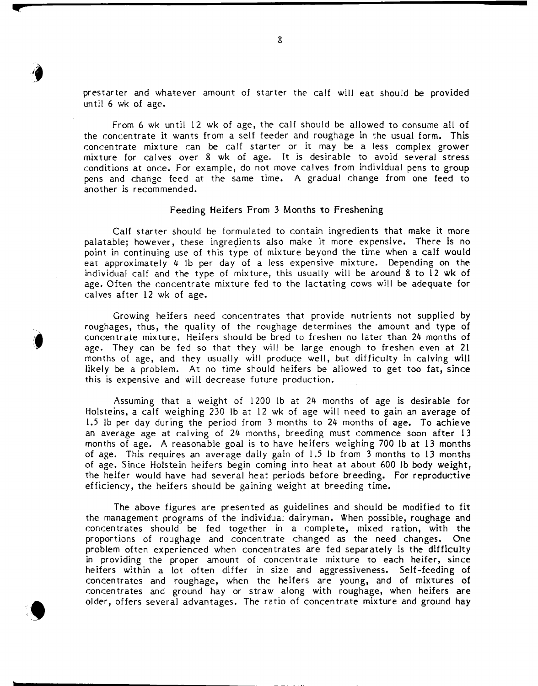prestarter and whatever amount of starter the calf will eat should be provided until 6 wk of age.

From 6 wk until 12 wk of age, the calf should be allowed to consume all of the concentrate it wants from a self feeder and roughage in the usual form. This concentrate mixture can be calf starter or it may be a less complex grower mixture for calves over 8 wk of age. It is desirable to avoid several stress conditions at once. For example, do not move calves from individual pens to group pens and change feed at the same time. A gradual change from one feed to another is recommended.

#### Feeding Heifers From 3 Months to Freshening

Calf starter should be formulated to contain ingredients that make it more palatable; however, these ingredients also make it more expensive. There is no point in continuing use of this type of mixture beyond the time when a calf would eat approximately 4 Ib per day of a less expensive mixture. Depending on the individual calf and the type of mixture, this usually will be around 8 to 12 wk of age. Often the concentrate mixture fed to the lactating cows will be adequate for cal ves after 12 wk of age.

Growing heifers need concentrates that provide nutrients not supplied by roughages, thus, the quality of the roughage determines the amount and type of concentrate mixture. Heifers should be bred to freshen no later than 24 months of age. They can be fed so that they will be large enough to freshen even at 21 months of age, and they usually will produce well, but difficulty in calving will likely be a problem. At no time should heifers be allowed to get too fat, since this is expensive and will decrease future production.

Assuming that a weight of 1200 Ib at 24 months of age *is* desirable for Holsteins, a calf weighing 230 Ib at 12 wk of age will need to gain an average of 1.5 lb per day during the period from 3 months to 24 months of age. To achieve an average age at calving of  $24$  months, breeding must commence soon after 13 months of age. A reasonable goal is to have heifers weighing 700 Ib at 13 months of age. This requires an average daily gain of 1.5 Ib from 3 months to 13 months of age. Since Holstein heifers begin coming into heat at about 600 Ib body weight, the heifer would have had several heat periods before breeding. For reproductive efficiency, the heifers should be gaining weight at breeding time.

The above figures are presented as guidelines and should be modified to fit the management programs of the individual dairyman. When possible, roughage and concentrates should be fed together in a complete, mixed ration, with the proportions of roughage and concentrate changed as the need changes. One problem often experienced when concentrates are fed separately is the difficulty in providing the proper amount of concentrate mixture to each heifer, since heifers within a lot often differ in size and aggressiveness. Self-feeding of concentrates and roughage, when the heifers are young, and of mixtures of concentrates and ground hay or straw along with roughage, when heifers are older, offers several advantages. The ratio of concentrate mixture and ground hay

**h**

'.